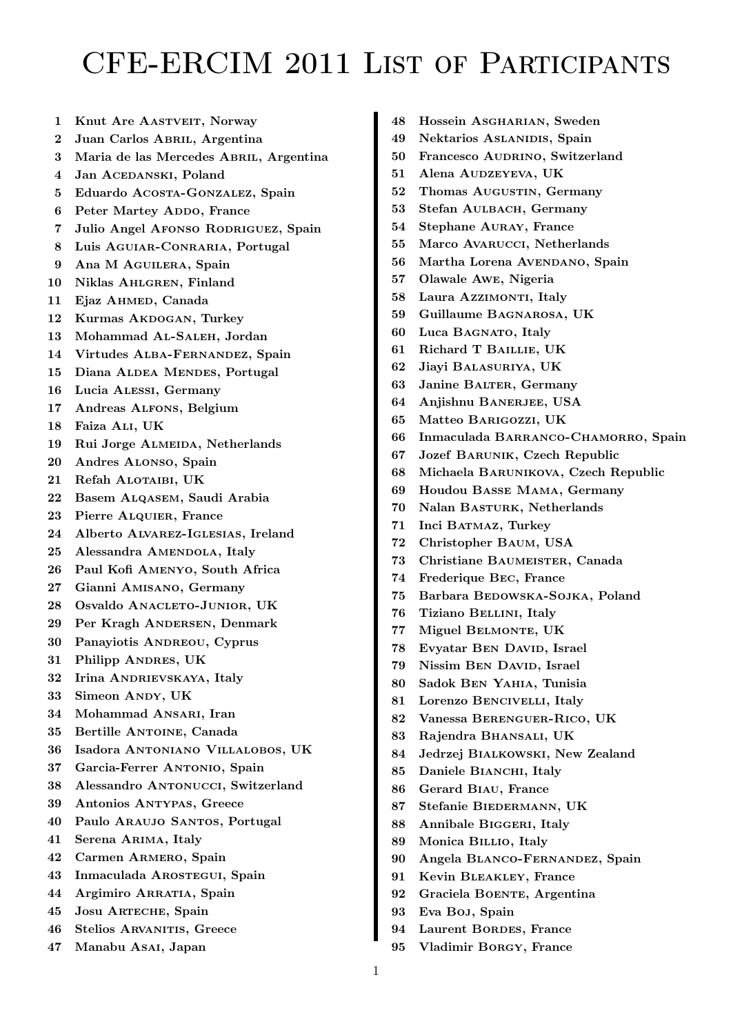## CFE-ERCIM 2011 List of Participants

- 1 Knut Are AASTVEIT, Norway
- 2 Juan Carlos ABRIL, Argentina
- 3 Maria de las Mercedes ABRIL, Argentina
- 4 Jan ACEDANSKI, Poland
- 5 Eduardo Acosta-Gonzalez, Spain
- 6 Peter Martey ADDO, France
- 7 Julio Angel AFONSO RODRIGUEZ, Spain
- 8 Luis Aguiar-Conraria, Portugal
- 9 Ana M AGUILERA, Spain
- 10 Niklas AHLGREN, Finland
- 11 Ejaz AHMED, Canada
- 12 Kurmas AKDOGAN, Turkey
- 13 Mohammad Al-Saleh, Jordan
- 14 Virtudes Alba-Fernandez, Spain
- 15 Diana ALDEA MENDES, Portugal
- 16 Lucia Alessi, Germany
- 17 Andreas Alfons, Belgium
- 18 Faiza Ali, UK
- 19 Rui Jorge ALMEIDA, Netherlands
- 20 Andres Alonso, Spain
- 21 Refah ALOTAIBI, UK
- 22 Basem Alqasem, Saudi Arabia
- 23 Pierre ALQUIER, France
- 24 Alberto Alvarez-Iglesias, Ireland
- 25 Alessandra AMENDOLA, Italy
- 26 Paul Kofi Amenyo, South Africa
- 27 Gianni Amisano, Germany
- 28 Osvaldo ANACLETO-JUNIOR, UK
- 29 Per Kragh Andersen, Denmark
- 30 Panayiotis ANDREOU, Cyprus
- 31 Philipp Andres, UK
- 32 Irina ANDRIEVSKAYA, Italy
- 33 Simeon Andy, UK
- 34 Mohammad ANSARI, Iran
- 35 Bertille Antoine, Canada
- 36 Isadora Antoniano Villalobos, UK
- 37 Garcia-Ferrer Antonio, Spain
- 38 Alessandro Antonucci, Switzerland
- 39 Antonios Antypas, Greece
- 40 Paulo Araujo Santos, Portugal
- 41 Serena Arima, Italy
- 42 Carmen Armero, Spain
- 43 Inmaculada AROSTEGUI, Spain
- 44 Argimiro ARRATIA, Spain
- 45 Josu Arteche, Spain
- 46 Stelios ARVANITIS, Greece
- 47 Manabu Asai, Japan
- 48 Hossein Asgharian, Sweden
- 49 Nektarios ASLANIDIS, Spain
- 50 Francesco AUDRINO, Switzerland
- 51 Alena Audzeyeva, UK
- 52 Thomas AUGUSTIN, Germany
- 53 Stefan AULBACH, Germany
- 54 Stephane AURAY, France
- 55 Marco Avarucci, Netherlands
- 56 Martha Lorena AVENDANO, Spain
- 57 Olawale Awe, Nigeria
- 58 Laura Azzimonti, Italy
- 59 Guillaume Bagnarosa, UK
- 60 Luca Bagnato, Italy
- 61 Richard T Baillie, UK
- 62 Jiayi Balasuriya, UK
- 63 Janine BALTER, Germany
- 64 Anjishnu BANERJEE, USA
- 65 Matteo Barigozzi, UK
- 66 Inmaculada BARRANCO-CHAMORRO, Spain
- 67 Jozef Barunik, Czech Republic
- 68 Michaela Barunikova, Czech Republic
- 69 Houdou Basse Mama, Germany
- 70 Nalan BASTURK, Netherlands
- 71 Inci BATMAZ, Turkey
- 72 Christopher Baum, USA
- 73 Christiane Baumeister, Canada
- 74 Frederique Bec, France
- 75 Barbara BEDOWSKA-SOJKA, Poland
- 76 Tiziano Bellini, Italy
- 77 Miguel BELMONTE, UK
- 78 Evyatar BEN DAVID, Israel
- 79 Nissim BEN DAVID, Israel
- 80 Sadok Ben Yahia, Tunisia
- 81 Lorenzo Bencivelli, Italy
- 82 Vanessa Berenguer-Rico, UK
- 83 Rajendra Bhansali, UK
- 84 Jedrzej Bialkowski, New Zealand
- 85 Daniele BIANCHI, Italy
- 86 Gerard Biau, France
- 87 Stefanie BIEDERMANN, UK
- 88 Annibale BIGGERI, Italy
- 89 Monica Billio, Italy
- 90 Angela Blanco-Fernandez, Spain
- 91 Kevin Bleakley, France
- 92 Graciela BOENTE, Argentina
- 93 Eva Boj, Spain
- 94 Laurent BORDES, France
- 95 Vladimir Borgy, France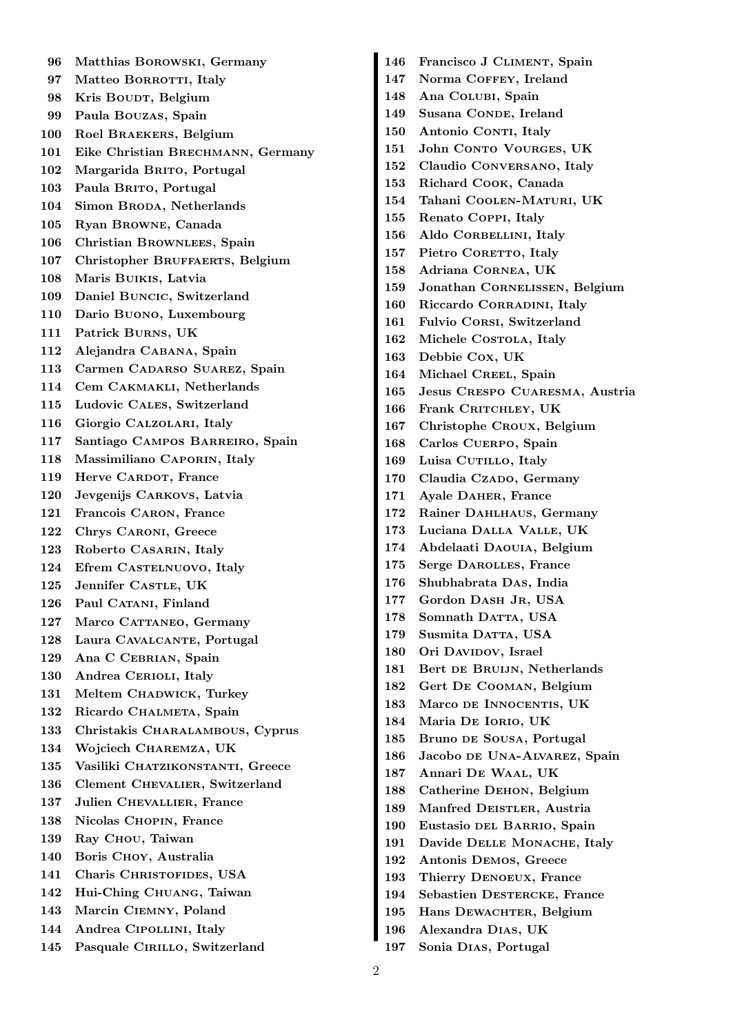96 Matthias Borowski, Germany 97 Matteo BORROTTI, Italy 98 Kris Boudr, Belgium 99 Paula Bouzas, Spain 100 Roel Braekers, Belgium 101 Eike Christian Brechmann, Germany 102 Margarida BRITO, Portugal 103 Paula BRITO, Portugal 104 Simon BRODA, Netherlands 105 Ryan Browne, Canada 106 Christian Brownlees, Spain 107 Christopher BRUFFAERTS, Belgium 108 Maris Buikis, Latvia 109 Daniel Buncic, Switzerland 110 Dario Buono, Luxembourg 111 Patrick Burns, UK 112 Alejandra Cabana, Spain 113 Carmen CADARSO SUAREZ, Spain 114 Cem Cakmakli, Netherlands 115 Ludovic Cales, Switzerland 116 Giorgio Calzolari, Italy 117 Santiago Campos Barreiro, Spain 118 Massimiliano Caporin, Italy 119 Herve CARDOT, France 120 Jevgenijs Carkovs, Latvia 121 Francois Caron, France 122 Chrys Caroni, Greece 123 Roberto Casarin, Italy 124 Efrem CASTELNUOVO, Italy 125 Jennifer CASTLE, UK 126 Paul CATANI, Finland 127 Marco CATTANEO, Germany 128 Laura CAVALCANTE, Portugal 129 Ana C CEBRIAN, Spain 130 Andrea CERIOLI, Italy 131 Meltem CHADWICK, Turkey 132 Ricardo CHALMETA, Spain 133 Christakis Charalambous, Cyprus 134 Wojciech Charemza, UK 135 Vasiliki CHATZIKONSTANTI, Greece 136 Clement Chevalier, Switzerland 137 Julien Chevallier, France 138 Nicolas Chopin, France 139 Ray CHOU, Taiwan 140 Boris Choy, Australia 141 Charis CHRISTOFIDES, USA 142 Hui-Ching Chuang, Taiwan 143 Marcin Ciemny, Poland 144 Andrea Cipollini, Italy 145 Pasquale CIRILLO, Switzerland

146 Francisco J CLIMENT, Spain 147 Norma COFFEY, Ireland 148 Ana Colubi, Spain 149 Susana CONDE, Ireland 150 Antonio CONTI, Italy 151 John CONTO VOURGES, UK 152 Claudio Conversano, Italy 153 Richard Cook, Canada 154 Tahani Coolen-Maturi, UK 155 Renato Coppi, Italy 156 Aldo CORBELLINI, Italy 157 Pietro CORETTO, Italy 158 Adriana Cornea, UK 159 Jonathan Cornelissen, Belgium 160 Riccardo Corradini, Italy 161 Fulvio Corsi, Switzerland 162 Michele COSTOLA, Italy 163 Debbie Cox, UK 164 Michael CREEL, Spain 165 Jesus Crespo Cuaresma, Austria 166 Frank CRITCHLEY, UK 167 Christophe Croux, Belgium 168 Carlos Cuerpo, Spain 169 Luisa CUTILLO, Italy 170 Claudia CzADO, Germany 171 Ayale Daher, France 172 Rainer Dahlhaus, Germany 173 Luciana Dalla Valle, UK 174 Abdelaati Daouia, Belgium 175 Serge Darolles, France 176 Shubhabrata Das, India 177 Gordon DASH JR, USA 178 Somnath DATTA, USA 179 Susmita DATTA, USA 180 Ori DAVIDOV, Israel 181 Bert de Bruijn, Netherlands 182 Gert De Cooman, Belgium 183 Marco de Innocentis, UK 184 Maria De Iorio, UK 185 Bruno de Sousa, Portugal 186 Jacobo de Una-Alvarez, Spain 187 Annari De Waal, UK 188 Catherine Dehon, Belgium 189 Manfred DEISTLER, Austria 190 Eustasio del Barrio, Spain 191 Davide Delle Monache, Italy 192 Antonis Demos, Greece 193 Thierry Denoeux, France 194 Sebastien DESTERCKE, France 195 Hans DEWACHTER, Belgium 196 Alexandra Dias, UK

197 Sonia Dias, Portugal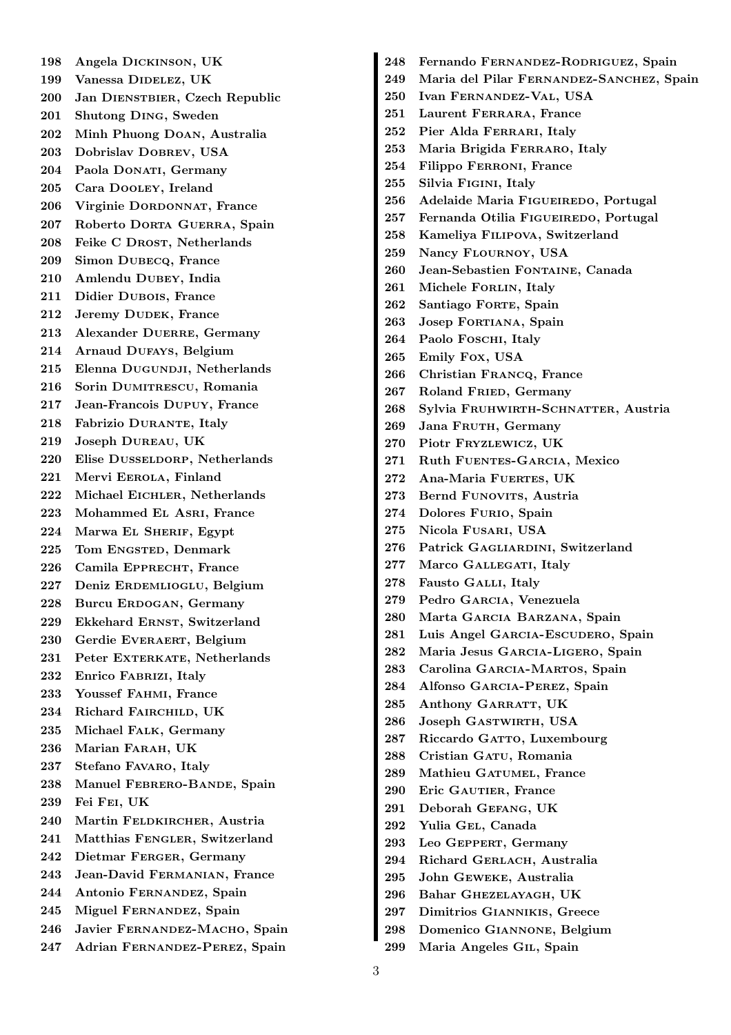198 Angela Dickinson, UK 199 Vanessa DIDELEZ, UK 200 Jan DIENSTBIER, Czech Republic 201 Shutong Ding, Sweden 202 Minh Phuong Doan, Australia 203 Dobrislav Dobrev, USA 204 Paola DONATI, Germany 205 Cara Dooley, Ireland 206 Virginie Dordonnat, France 207 Roberto Dorta Guerra, Spain 208 Feike C DROST, Netherlands 209 Simon Dubecq, France 210 Amlendu Dubey, India 211 Didier Dubois, France 212 Jeremy DUDEK, France 213 Alexander DUERRE, Germany 214 Arnaud Dufays, Belgium 215 Elenna DUGUNDJI, Netherlands 216 Sorin Dumitrescu, Romania 217 Jean-Francois Dupuy, France 218 Fabrizio DURANTE, Italy 219 Joseph Dureau, UK 220 Elise Dusseldorp, Netherlands 221 Mervi Eerola, Finland 222 Michael EICHLER, Netherlands 223 Mohammed El Asri, France 224 Marwa El Sherif, Egypt 225 Tom ENGSTED, Denmark 226 Camila EPPRECHT, France 227 Deniz Erdemlioglu, Belgium 228 Burcu Erdogan, Germany 229 Ekkehard ERNST, Switzerland 230 Gerdie EVERAERT, Belgium 231 Peter EXTERKATE, Netherlands 232 Enrico Fabrizi, Italy 233 Youssef Fahmi, France 234 Richard Fairchild, UK 235 Michael Falk, Germany 236 Marian Farah, UK 237 Stefano Favaro, Italy 238 Manuel FEBRERO-BANDE, Spain 239 Fei Fei, UK 240 Martin FELDKIRCHER, Austria 241 Matthias FENGLER, Switzerland 242 Dietmar Ferger, Germany 243 Jean-David Fermanian, France 244 Antonio Fernandez, Spain 245 Miguel Fernandez, Spain 246 Javier Fernandez-Macho, Spain 247 Adrian Fernandez-Perez, Spain

248 Fernando Fernandez-Rodriguez, Spain 249 Maria del Pilar FERNANDEZ-SANCHEZ, Spain 250 Ivan Fernandez-Val, USA 251 Laurent Ferrara, France 252 Pier Alda Ferrari, Italy 253 Maria Brigida Ferraro, Italy 254 Filippo Ferroni, France 255 Silvia Figini, Italy 256 Adelaide Maria FIGUEIREDO, Portugal 257 Fernanda Otilia FIGUEIREDO, Portugal 258 Kameliya Filipova, Switzerland 259 Nancy Flournoy, USA 260 Jean-Sebastien Fontaine, Canada 261 Michele FORLIN, Italy 262 Santiago FORTE, Spain 263 Josep FORTIANA, Spain 264 Paolo FOSCHI, Italy 265 Emily Fox, USA 266 Christian Francq, France 267 Roland Fried, Germany 268 Sylvia FRUHWIRTH-SCHNATTER, Austria 269 Jana FRUTH, Germany 270 Piotr Fryzlewicz, UK 271 Ruth FUENTES-GARCIA, Mexico 272 Ana-Maria Fuerres, UK 273 Bernd FUNOVITS, Austria 274 Dolores FURIO, Spain 275 Nicola Fusari, USA 276 Patrick Gagliardini, Switzerland 277 Marco GALLEGATI, Italy 278 Fausto GALLI, Italy 279 Pedro Garcia, Venezuela 280 Marta Garcia Barzana, Spain 281 Luis Angel Garcia-Escudero, Spain 282 Maria Jesus Garcia-Ligero, Spain 283 Carolina Garcia-Martos, Spain 284 Alfonso Garcia-Perez, Spain 285 Anthony GARRATT, UK 286 Joseph GASTWIRTH, USA 287 Riccardo GATTO, Luxembourg 288 Cristian GATU, Romania 289 Mathieu Gatumel, France 290 Eric GAUTIER, France 291 Deborah Gefang, UK 292 Yulia Gel, Canada 293 Leo Geppert, Germany 294 Richard GERLACH, Australia 295 John Geweke, Australia 296 Bahar Ghezelayagh, UK 297 Dimitrios Giannikis, Greece 298 Domenico Giannone, Belgium

299 Maria Angeles Gil, Spain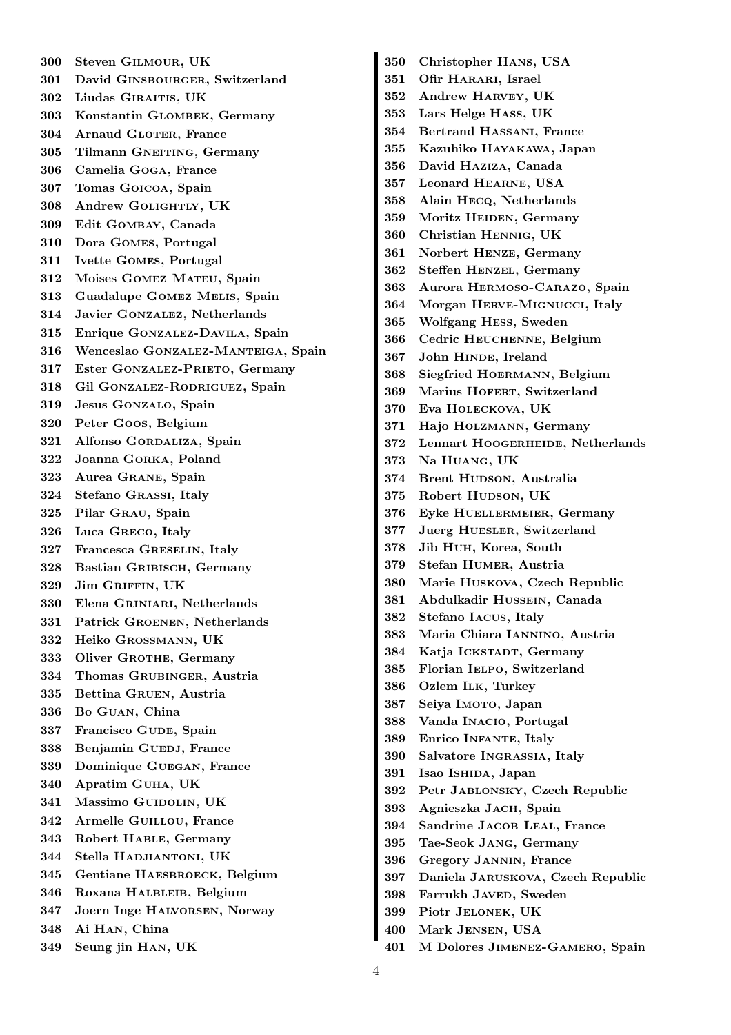300 Steven Gilmour, UK 301 David Ginsbourger, Switzerland 302 Liudas Giraitis, UK 303 Konstantin Glombek, Germany 304 Arnaud GLOTER, France 305 Tilmann GNEITING, Germany 306 Camelia Goga, France 307 Tomas Goicoa, Spain 308 Andrew Golightly, UK 309 Edit Gombay, Canada 310 Dora Gomes, Portugal 311 Ivette Gomes, Portugal 312 Moises Gomez Mateu, Spain 313 Guadalupe Gomez Melis, Spain 314 Javier Gonzalez, Netherlands 315 Enrique Gonzalez-Davila, Spain 316 Wenceslao Gonzalez-Manteiga, Spain 317 Ester GONZALEZ-PRIETO, Germany 318 Gil Gonzalez-Rodriguez, Spain 319 Jesus GONZALO, Spain 320 Peter Goos, Belgium 321 Alfonso Gordaliza, Spain 322 Joanna Gorka, Poland 323 Aurea Grane, Spain 324 Stefano Grassi, Italy 325 Pilar Grau, Spain 326 Luca Greco, Italy 327 Francesca Greselin, Italy 328 Bastian GRIBISCH, Germany 329 Jim Griffin, UK 330 Elena Griniari, Netherlands 331 Patrick Groenen, Netherlands 332 Heiko Grossmann, UK 333 Oliver GROTHE, Germany 334 Thomas Grubinger, Austria 335 Bettina Gruen, Austria 336 Bo Guan, China 337 Francisco GUDE, Spain 338 Benjamin GUEDJ, France 339 Dominique Guegan, France 340 Apratim Guha, UK 341 Massimo GUIDOLIN, UK 342 Armelle Guillou, France 343 Robert Hable, Germany 344 Stella Hadjiantoni, UK 345 Gentiane HAESBROECK, Belgium 346 Roxana HALBLEIB, Belgium 347 Joern Inge Halvorsen, Norway 348 Ai Han, China 349 Seung jin Han, UK

350 Christopher Hans, USA 351 Ofir HARARI, Israel 352 Andrew Harvey, UK 353 Lars Helge Hass, UK 354 Bertrand Hassani, France 355 Kazuhiko Hayakawa, Japan 356 David Haziza, Canada 357 Leonard Hearne, USA 358 Alain Hecq, Netherlands 359 Moritz HEIDEN, Germany 360 Christian Hennig, UK 361 Norbert Henze, Germany 362 Steffen Henzel, Germany 363 Aurora Hermoso-Carazo, Spain 364 Morgan Herve-Mignucci, Italy 365 Wolfgang Hess, Sweden 366 Cedric HEUCHENNE, Belgium 367 John HINDE, Ireland 368 Siegfried Hoermann, Belgium 369 Marius HOFERT, Switzerland 370 Eva Holeckova, UK 371 Hajo Holzmann, Germany 372 Lennart HOOGERHEIDE, Netherlands 373 Na Huang, UK 374 Brent HUDSON, Australia 375 Robert HUDSON, UK 376 Eyke HUELLERMEIER, Germany 377 Juerg Huesler, Switzerland 378 Jib Huh, Korea, South 379 Stefan Humer, Austria 380 Marie Huskova, Czech Republic 381 Abdulkadir Hussein, Canada 382 Stefano Iacus, Italy 383 Maria Chiara Iannino, Austria 384 Katja ICKSTADT, Germany 385 Florian Ielpo, Switzerland 386 Ozlem ILK, Turkey 387 Seiya IMOTO, Japan 388 Vanda Inacio, Portugal 389 Enrico Infante, Italy 390 Salvatore Ingrassia, Italy 391 Isao Ishida, Japan 392 Petr Jablonsky, Czech Republic 393 Agnieszka JACH, Spain 394 Sandrine JACOB LEAL, France 395 Tae-Seok Jang, Germany 396 Gregory Jannin, France 397 Daniela Jaruskova, Czech Republic 398 Farrukh Javed, Sweden 399 Piotr Jelonek, UK 400 Mark Jensen, USA

401 M Dolores Jimenez-Gamero, Spain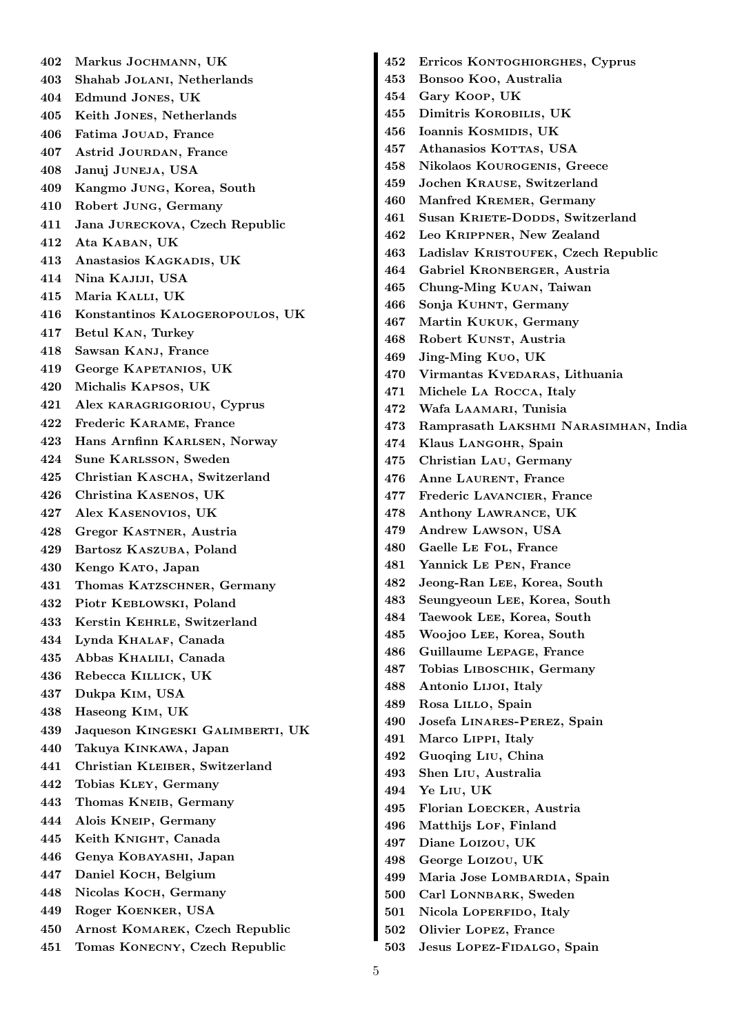402 Markus Jochmann, UK 403 Shahab Jolani, Netherlands 404 Edmund Jones, UK 405 Keith Jones, Netherlands 406 Fatima JOUAD, France 407 Astrid Jourdan, France 408 Januj Juneja, USA 409 Kangmo Jung, Korea, South 410 Robert Jung, Germany 411 Jana Jureckova, Czech Republic 412 Ata Kaban, UK 413 Anastasios Kagkadis, UK 414 Nina Kajiji, USA 415 Maria Kalli, UK 416 Konstantinos Kalogeropoulos, UK 417 Betul Kan, Turkey 418 Sawsan Kanj, France 419 George KAPETANIOS, UK 420 Michalis Kapsos, UK 421 Alex karagrigoriou, Cyprus 422 Frederic Karame, France 423 Hans Arnfinn Karlsen, Norway 424 Sune Karlsson, Sweden 425 Christian KASCHA, Switzerland 426 Christina Kasenos, UK 427 Alex Kasenovios, UK 428 Gregor Kastner, Austria 429 Bartosz Kaszuba, Poland 430 Kengo Kato, Japan 431 Thomas Katzschner, Germany 432 Piotr Keblowski, Poland 433 Kerstin Kehrle, Switzerland 434 Lynda Khalaf, Canada 435 Abbas Khalili, Canada 436 Rebecca Killick, UK 437 Dukpa Kim, USA 438 Haseong Kim, UK 439 Jaqueson Kingeski Galimberti, UK 440 Takuya Kinkawa, Japan 441 Christian Kleiber, Switzerland 442 Tobias Kley, Germany 443 Thomas KNEIB, Germany 444 Alois Kneip, Germany 445 Keith Knight, Canada 446 Genya Kobayashi, Japan 447 Daniel Koch, Belgium 448 Nicolas Koch, Germany 449 Roger Koenker, USA 450 Arnost Komarek, Czech Republic 451 Tomas Konecny, Czech Republic

452 Erricos Kontoghiorghes, Cyprus 453 Bonsoo Koo, Australia 454 Gary Koop, UK 455 Dimitris Korobilis, UK 456 Ioannis Kosmidis, UK 457 Athanasios KOTTAS, USA 458 Nikolaos Kourogenis, Greece 459 Jochen Krause, Switzerland 460 Manfred Kremer, Germany 461 Susan KRIETE-DODDS, Switzerland 462 Leo Krippner, New Zealand 463 Ladislav KRISTOUFEK, Czech Republic 464 Gabriel Kronberger, Austria 465 Chung-Ming Kuan, Taiwan 466 Sonja Kuhnt, Germany 467 Martin Kukuk, Germany 468 Robert KUNST, Austria 469 Jing-Ming Kuo, UK 470 Virmantas KVEDARAS, Lithuania 471 Michele La Rocca, Italy 472 Wafa LAAMARI, Tunisia 473 Ramprasath Lakshmi Narasimhan, India 474 Klaus LANGOHR, Spain 475 Christian Lau, Germany 476 Anne LAURENT, France 477 Frederic Lavancier, France 478 Anthony Lawrance, UK 479 Andrew Lawson, USA 480 Gaelle Le Fol, France 481 Yannick Le Pen, France 482 Jeong-Ran Lee, Korea, South 483 Seungyeoun Lee, Korea, South 484 Taewook Lee, Korea, South 485 Woojoo Lee, Korea, South 486 Guillaume Lepage, France 487 Tobias Liboschik, Germany 488 Antonio Lijoi, Italy 489 Rosa Lillo, Spain 490 Josefa Linares-Perez, Spain 491 Marco Lippi, Italy 492 Guoqing Liu, China 493 Shen Liu, Australia 494 Ye Liu, UK 495 Florian Loecker, Austria 496 Matthijs Lor, Finland 497 Diane Loizou, UK 498 George Loizou, UK 499 Maria Jose Lombardia, Spain 500 Carl LONNBARK, Sweden 501 Nicola LOPERFIDO, Italy 502 Olivier Lopez, France

503 Jesus Lopez-Fidalgo, Spain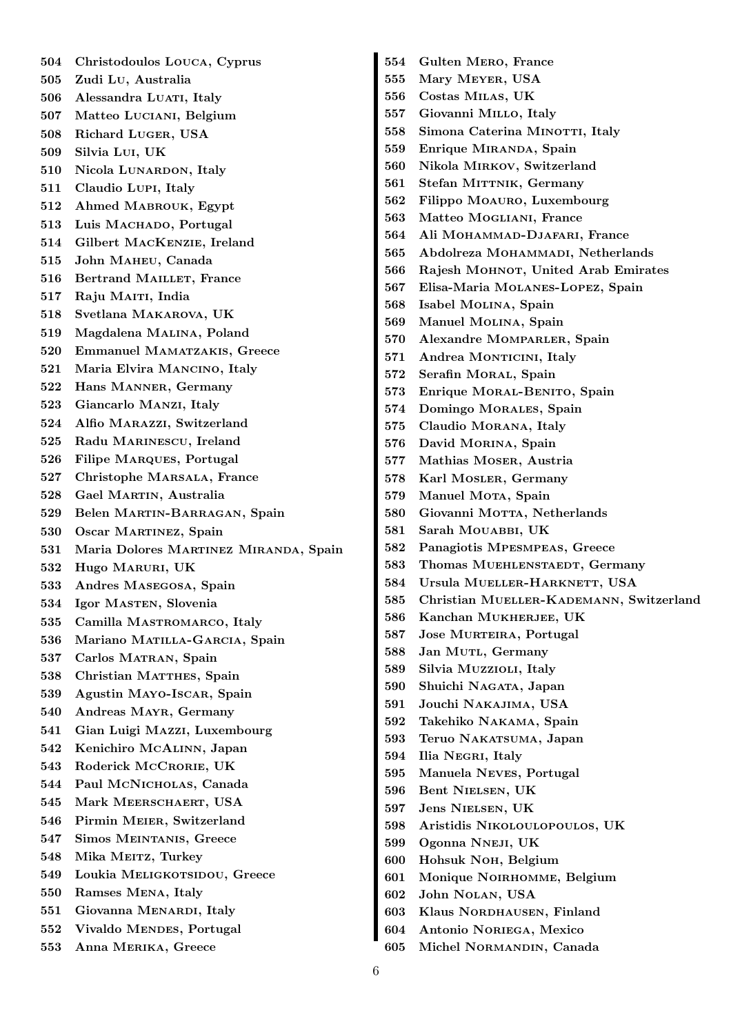504 Christodoulos Louca, Cyprus 505 Zudi Lu, Australia 506 Alessandra LUATI, Italy 507 Matteo Luciani, Belgium 508 Richard Luger, USA 509 Silvia Lui, UK 510 Nicola LUNARDON, Italy 511 Claudio Lupi, Italy 512 Ahmed Mabrouk, Egypt 513 Luis MACHADO, Portugal 514 Gilbert MacKenzie, Ireland 515 John Maheu, Canada 516 Bertrand MAILLET, France 517 Raju MAITI, India 518 Svetlana Makarova, UK 519 Magdalena Malina, Poland 520 Emmanuel Mamatzakis, Greece 521 Maria Elvira Mancino, Italy 522 Hans Manner, Germany 523 Giancarlo Manzi, Italy 524 Alfio Marazzi, Switzerland 525 Radu MARINESCU, Ireland 526 Filipe Marques, Portugal 527 Christophe Marsala, France 528 Gael Martin, Australia 529 Belen Martin-Barragan, Spain 530 Oscar Martinez, Spain 531 Maria Dolores Martinez Miranda, Spain 532 Hugo Maruri, UK 533 Andres Masegosa, Spain 534 Igor Masten, Slovenia 535 Camilla MASTROMARCO, Italy 536 Mariano MATILLA-GARCIA, Spain 537 Carlos MATRAN, Spain 538 Christian MATTHES, Spain 539 Agustin Mayo-Iscar, Spain 540 Andreas Mayr, Germany 541 Gian Luigi Mazzi, Luxembourg 542 Kenichiro McAlinn, Japan 543 Roderick McCRORIE, UK 544 Paul McNicholas, Canada 545 Mark MEERSCHAERT, USA 546 Pirmin Meier, Switzerland 547 Simos Meintanis, Greece 548 Mika MEITZ, Turkey 549 Loukia MELIGKOTSIDOU, Greece 550 Ramses Mena, Italy 551 Giovanna MENARDI, Italy 552 Vivaldo MENDES, Portugal 553 Anna Merika, Greece

554 Gulten Mero, France 555 Mary Meyer, USA 556 Costas Milas, UK 557 Giovanni Millo, Italy 558 Simona Caterina MINOTTI, Italy 559 Enrique MIRANDA, Spain 560 Nikola Mirkov, Switzerland 561 Stefan MITTNIK, Germany 562 Filippo Moauro, Luxembourg 563 Matteo Mogliani, France 564 Ali Mohammad-Djafari, France 565 Abdolreza MOHAMMADI, Netherlands 566 Rajesh MOHNOT, United Arab Emirates 567 Elisa-Maria Molanes-Lopez, Spain 568 Isabel Molina, Spain 569 Manuel Molina, Spain 570 Alexandre Momparler, Spain 571 Andrea MONTICINI, Italy 572 Serafin MORAL, Spain 573 Enrique MORAL-BENITO, Spain 574 Domingo MORALES, Spain 575 Claudio Morana, Italy 576 David MORINA, Spain 577 Mathias Moser, Austria 578 Karl Mosler, Germany 579 Manuel Mora, Spain 580 Giovanni Morra, Netherlands 581 Sarah MouABBI, UK 582 Panagiotis Mpesmpeas, Greece 583 Thomas MUEHLENSTAEDT, Germany 584 Ursula MUELLER-HARKNETT, USA 585 Christian Mueller-Kademann, Switzerland 586 Kanchan MUKHERJEE, UK 587 Jose Murteira, Portugal 588 Jan MUTL, Germany 589 Silvia Muzzioli, Italy 590 Shuichi NAGATA, Japan 591 Jouchi Nakajima, USA 592 Takehiko Nakama, Spain 593 Teruo Nakatsuma, Japan 594 Ilia Negri, Italy 595 Manuela Neves, Portugal 596 Bent Nielsen, UK 597 Jens Nielsen, UK 598 Aristidis Nikoloulopoulos, UK 599 Ogonna Nneji, UK 600 Hohsuk Noh, Belgium 601 Monique Noirhomme, Belgium 602 John Nolan, USA 603 Klaus Nordhausen, Finland 604 Antonio Noriega, Mexico 605 Michel Normandin, Canada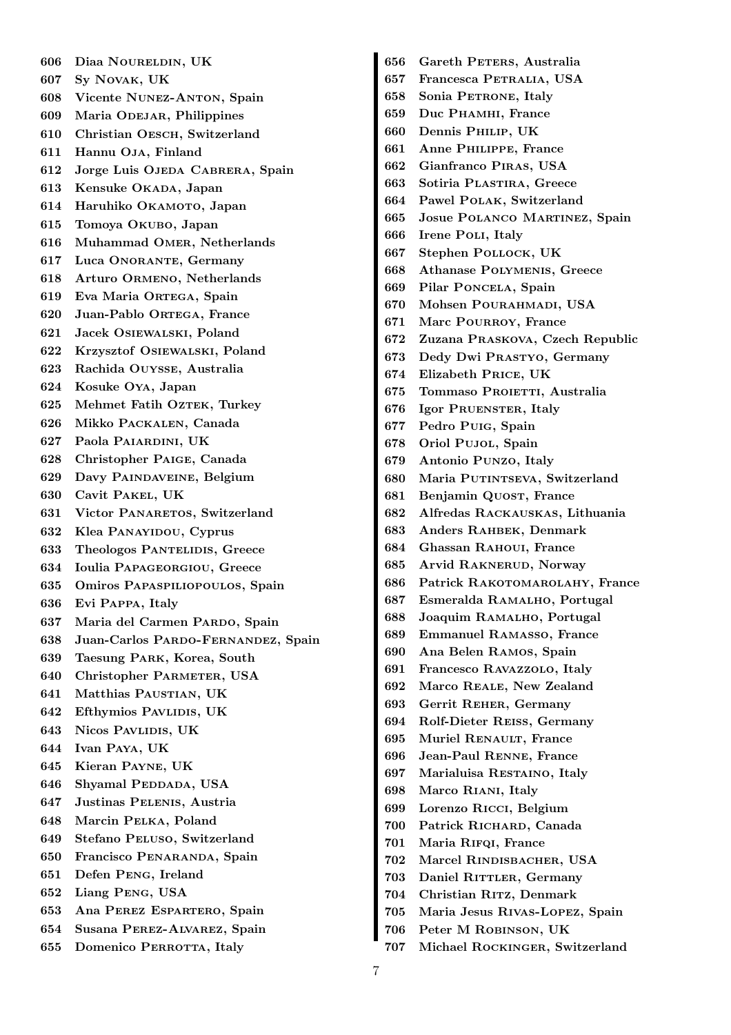606 Diaa Noureldin, UK 607 Sy Novak, UK 608 Vicente Nunez-Anton, Spain 609 Maria ODEJAR, Philippines 610 Christian Oesch, Switzerland 611 Hannu Oja, Finland 612 Jorge Luis OJEDA CABRERA, Spain 613 Kensuke OKADA, Japan 614 Haruhiko OKAMOTO, Japan 615 Tomoya Okubo, Japan 616 Muhammad Omer, Netherlands 617 Luca ONORANTE, Germany 618 Arturo Ormeno, Netherlands 619 Eva Maria Ortega, Spain 620 Juan-Pablo Ortega, France 621 Jacek Osiewalski, Poland 622 Krzysztof Osiewalski, Poland 623 Rachida Ouysse, Australia 624 Kosuke Oya, Japan 625 Mehmet Fatih OZTEK, Turkey 626 Mikko Packalen, Canada 627 Paola Paiardini, UK 628 Christopher Paige, Canada 629 Davy Paindaveine, Belgium 630 Cavit Pakel, UK 631 Victor PANARETOS, Switzerland 632 Klea Panayidou, Cyprus 633 Theologos Pantelidis, Greece 634 Ioulia Papageorgiou, Greece 635 Omiros Papaspiliopoulos, Spain 636 Evi Pappa, Italy 637 Maria del Carmen PARDO, Spain 638 Juan-Carlos Pardo-Fernandez, Spain 639 Taesung Park, Korea, South 640 Christopher PARMETER, USA 641 Matthias PAUSTIAN, UK 642 Efthymios PavLIDIS, UK 643 Nicos PAVLIDIS, UK 644 Ivan Paya, UK 645 Kieran Payne, UK 646 Shyamal PEDDADA, USA 647 Justinas Pelenis, Austria 648 Marcin Pelka, Poland 649 Stefano Peluso, Switzerland 650 Francisco Penaranda, Spain 651 Defen Peng, Ireland 652 Liang Peng, USA 653 Ana Perez Espartero, Spain 654 Susana Perez-Alvarez, Spain 655 Domenico PERROTTA, Italy

656 Gareth PETERS, Australia 657 Francesca Petralia, USA 658 Sonia PETRONE, Italy 659 Duc Phamhi, France 660 Dennis Philip, UK 661 Anne Philippe, France 662 Gianfranco Piras, USA 663 Sotiria Plastira, Greece 664 Pawel Polak, Switzerland 665 Josue Polanco Martinez, Spain 666 Irene Poli, Italy 667 Stephen Pollock, UK 668 Athanase Polymenis, Greece 669 Pilar Poncela, Spain 670 Mohsen Pourahmadi, USA 671 Marc POURROY, France 672 Zuzana Praskova, Czech Republic 673 Dedy Dwi Prastyo, Germany 674 Elizabeth Price, UK 675 Tommaso PROIETTI, Australia 676 Igor Pruenster, Italy 677 Pedro Puig, Spain 678 Oriol Pujol, Spain 679 Antonio Punzo, Italy 680 Maria PUTINTSEVA, Switzerland 681 Benjamin QUOST, France 682 Alfredas Rackauskas, Lithuania 683 Anders Rahbek, Denmark 684 Ghassan Rahoui, France 685 Arvid Raknerud, Norway 686 Patrick RAKOTOMAROLAHY, France 687 Esmeralda Ramalho, Portugal 688 Joaquim Ramalho, Portugal 689 Emmanuel Ramasso, France 690 Ana Belen Ramos, Spain 691 Francesco Ravazzolo, Italy 692 Marco Reale, New Zealand 693 Gerrit Reher, Germany 694 Rolf-Dieter Reiss, Germany 695 Muriel RENAULT, France 696 Jean-Paul Renne, France 697 Marialuisa RESTAINO, Italy 698 Marco Riani, Italy 699 Lorenzo Ricci, Belgium 700 Patrick Richard, Canada 701 Maria RIFQI, France 702 Marcel Rindisbacher, USA 703 Daniel RITTLER, Germany 704 Christian Ritz, Denmark 705 Maria Jesus Rivas-Lopez, Spain 706 Peter M Robinson, UK 707 Michael Rockinger, Switzerland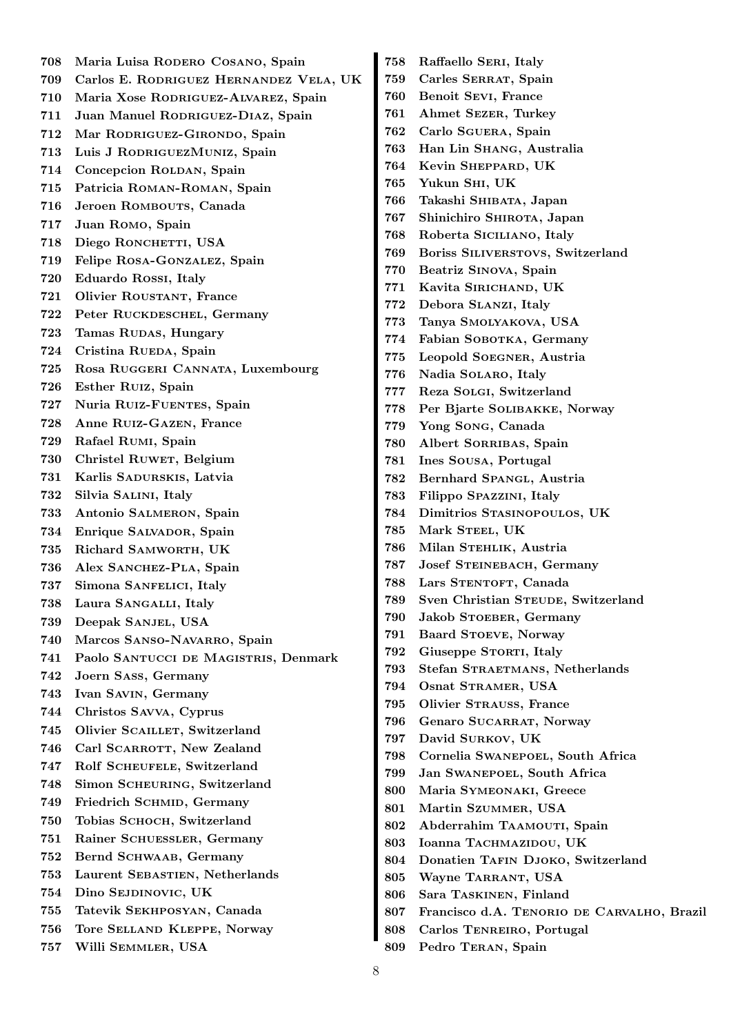708 Maria Luisa Rodero Cosano, Spain 709 Carlos E. Rodriguez Hernandez Vela, UK 710 Maria Xose Rodriguez-Alvarez, Spain 711 Juan Manuel RODRIGUEZ-DIAZ, Spain 712 Mar Rodriguez-Girondo, Spain 713 Luis J RodriguezMuniz, Spain 714 Concepcion ROLDAN, Spain 715 Patricia Roman-Roman, Spain 716 Jeroen ROMBOUTS, Canada 717 Juan Romo, Spain 718 Diego RONCHETTI, USA 719 Felipe Rosa-Gonzalez, Spain 720 Eduardo Rossi, Italy 721 Olivier ROUSTANT, France 722 Peter Ruckdeschel, Germany 723 Tamas RUDAS, Hungary 724 Cristina RUEDA, Spain 725 Rosa Ruggeri Cannata, Luxembourg 726 Esther Ruiz, Spain 727 Nuria Ruiz-Fuentes, Spain 728 Anne Ruiz-Gazen, France 729 Rafael Rumi, Spain 730 Christel RUWET, Belgium 731 Karlis Sadurskis, Latvia 732 Silvia Salini, Italy 733 Antonio Salmeron, Spain 734 Enrique SALVADOR, Spain 735 Richard Samworth, UK 736 Alex SANCHEZ-PLA, Spain 737 Simona Sanfelici, Italy 738 Laura Sangalli, Italy 739 Deepak Sanjel, USA 740 Marcos SANSO-NAVARRO, Spain 741 Paolo Santucci de Magistris, Denmark 742 Joern Sass, Germany 743 Ivan Savin, Germany 744 Christos Savva, Cyprus 745 Olivier SCAILLET, Switzerland 746 Carl SCARROTT, New Zealand 747 Rolf SCHEUFELE, Switzerland 748 Simon Scheuring, Switzerland 749 Friedrich SCHMID, Germany 750 Tobias Schoch, Switzerland 751 Rainer Schuessler, Germany 752 Bernd Schwaab, Germany 753 Laurent Sebastien, Netherlands 754 Dino Sejdinovic, UK 755 Tatevik Sekhposyan, Canada 756 Tore Selland Kleppe, Norway 757 Willi Semmler, USA 758 Raffaello Seri, Italy 759 Carles Serrat, Spain 760 Benoit Sevi, France 761 Ahmet Sezer, Turkey 762 Carlo Sguera, Spain 763 Han Lin Shang, Australia 764 Kevin Sheppard, UK 765 Yukun Shi, UK 766 Takashi Shibata, Japan 767 Shinichiro Shirota, Japan 768 Roberta Siciliano, Italy 769 Boriss Siliverstovs, Switzerland 770 Beatriz Sinova, Spain 771 Kavita Sirichand, UK 772 Debora Slanzi, Italy 773 Tanya Smolyakova, USA 774 Fabian SOBOTKA, Germany 775 Leopold Soegner, Austria 776 Nadia Solaro, Italy 777 Reza Solgi, Switzerland 778 Per Bjarte Solibakke, Norway 779 Yong Song, Canada 780 Albert Sorribas, Spain 781 Ines Sousa, Portugal 782 Bernhard Spangl, Austria 783 Filippo Spazzini, Italy 784 Dimitrios Stasinopoulos, UK 785 Mark STEEL, UK 786 Milan STEHLIK, Austria 787 Josef Steinebach, Germany 788 Lars STENTOFT, Canada 789 Sven Christian STEUDE, Switzerland 790 Jakob STOEBER, Germany 791 Baard Stoeve, Norway 792 Giuseppe STORTI, Italy 793 Stefan STRAETMANS, Netherlands 794 Osnat STRAMER, USA 795 Olivier Strauss, France 796 Genaro SUCARRAT, Norway 797 David Surkov, UK 798 Cornelia Swanepoel, South Africa 799 Jan Swanepoel, South Africa 800 Maria Symeonaki, Greece 801 Martin Szummer, USA 802 Abderrahim TAAMOUTI, Spain 803 Ioanna TACHMAZIDOU, UK 804 Donatien TAFIN DJOKO, Switzerland 805 Wayne TARRANT, USA 806 Sara Taskinen, Finland 807 Francisco d.A. Tenorio de Carvalho, Brazil 808 Carlos Tenreiro, Portugal 809 Pedro Teran, Spain